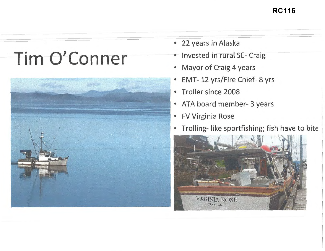## **RC116**

## Tim O'Conner



- 22 years in Alaska
- Invested in rural SE- Craig
- Mayor of Craig 4 years
- EMT- 12 yrs/Fire Chief- 8 yrs
- Troller since 2008
- ATA board member- 3 years
- FV Virginia Rose
- Trolling- like sportfishing; fish have to bite

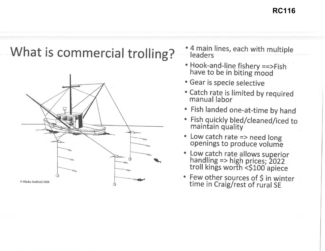**RC116**

## **What is commercial trolling?**  $*$ <sup>4 main lines, each with multiple</sup>



--------------------

- Hook-and-line fishery ==>Fish have to be in biting mood
- Gear is specie selective
- Catch rate is limited by required manual labor
- Fish landed one-at-time by hand
- Fish quickly bled/cleaned/iced to maintain quality
- Low catch rate => need long openings to produce volume
- Low catch rate allows superior<br>handling => high prices; 2022<br>troll kings worth <\$100 apiece
-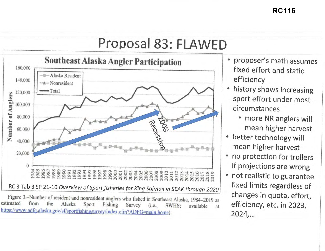

Figure 3.-Number of resident and nonresident anglers who fished in Southeast Alaska, 1984-2019 as<br>estimated from the Alaska Sport Fishing Survey (i.e., SWHS; available at efficiency, etc. in 2023,<br>https://www.adfg.alaska.g

- efficiency
- circumstances
	-
- better technology will mean higher harvest
- if projections are wrong
-